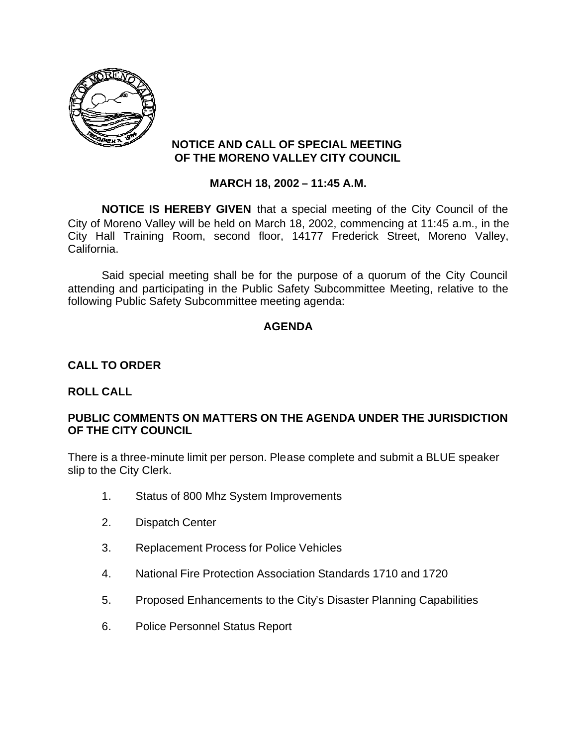

# **NOTICE AND CALL OF SPECIAL MEETING OF THE MORENO VALLEY CITY COUNCIL**

# **MARCH 18, 2002 – 11:45 A.M.**

**NOTICE IS HEREBY GIVEN** that a special meeting of the City Council of the City of Moreno Valley will be held on March 18, 2002, commencing at 11:45 a.m., in the City Hall Training Room, second floor, 14177 Frederick Street, Moreno Valley, California.

Said special meeting shall be for the purpose of a quorum of the City Council attending and participating in the Public Safety Subcommittee Meeting, relative to the following Public Safety Subcommittee meeting agenda:

# **AGENDA**

#### **CALL TO ORDER**

#### **ROLL CALL**

# **PUBLIC COMMENTS ON MATTERS ON THE AGENDA UNDER THE JURISDICTION OF THE CITY COUNCIL**

There is a three-minute limit per person. Please complete and submit a BLUE speaker slip to the City Clerk.

- 1. Status of 800 Mhz System Improvements
- 2. Dispatch Center
- 3. Replacement Process for Police Vehicles
- 4. National Fire Protection Association Standards 1710 and 1720
- 5. Proposed Enhancements to the City's Disaster Planning Capabilities
- 6. Police Personnel Status Report